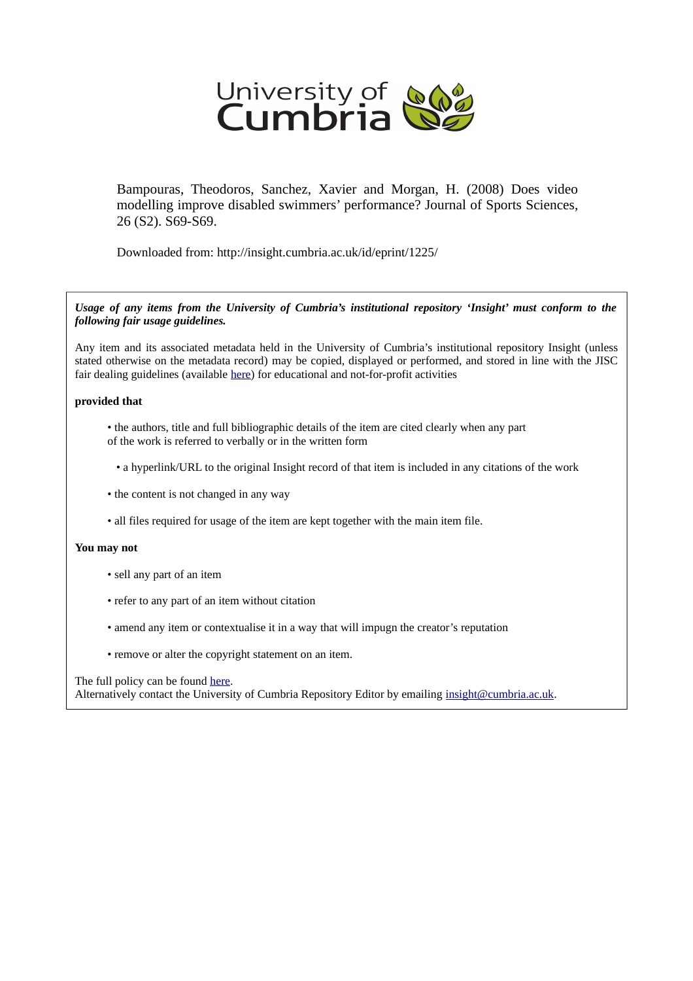

Bampouras, Theodoros, Sanchez, Xavier and Morgan, H. (2008) Does video modelling improve disabled swimmers' performance? Journal of Sports Sciences, 26 (S2). S69-S69.

Downloaded from: http://insight.cumbria.ac.uk/id/eprint/1225/

*Usage of any items from the University of Cumbria's institutional repository 'Insight' must conform to the following fair usage guidelines.*

Any item and its associated metadata held in the University of Cumbria's institutional repository Insight (unless stated otherwise on the metadata record) may be copied, displayed or performed, and stored in line with the JISC fair dealing guidelines (available [here\)](http://www.ukoln.ac.uk/services/elib/papers/pa/fair/) for educational and not-for-profit activities

## **provided that**

- the authors, title and full bibliographic details of the item are cited clearly when any part of the work is referred to verbally or in the written form
	- a hyperlink/URL to the original Insight record of that item is included in any citations of the work
- the content is not changed in any way
- all files required for usage of the item are kept together with the main item file.

### **You may not**

- sell any part of an item
- refer to any part of an item without citation
- amend any item or contextualise it in a way that will impugn the creator's reputation
- remove or alter the copyright statement on an item.

### The full policy can be found [here.](http://insight.cumbria.ac.uk/legal.html#section5)

Alternatively contact the University of Cumbria Repository Editor by emailing [insight@cumbria.ac.uk.](mailto:insight@cumbria.ac.uk)